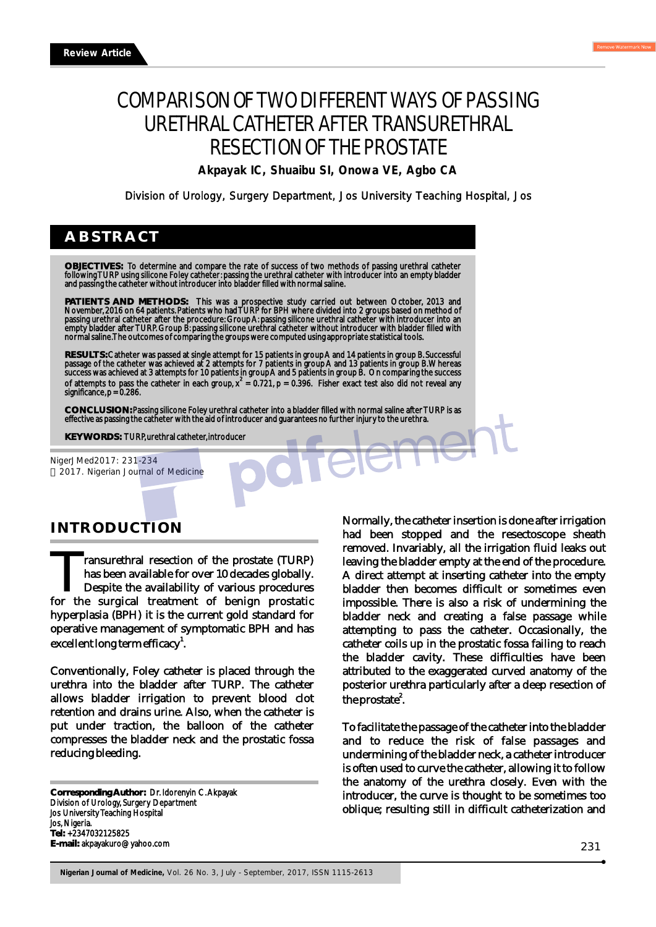# COMPARISON OF TWO DIFFERENT WAYS OF PASSING URETHRAL CATHETER AFTER TRANSURETHRAL RESECTION OF THE PROSTATE

**Akpayak IC, Shuaibu SI, Onowa VE, Agbo CA**

Division of Urology, Surgery Department, Jos University Teaching Hospital, Jos

# **ABSTRACT**

**OBJECTIVES:** To determine and compare the rate of success of two methods of passing urethral catheter following TURP using silicone Foley catheter: passing the urethral catheter with introducer into an empty bladder and passing the catheter without introducer into bladder filled with normal saline.

**PATIENTS AND METHODS:** This was a prospective study carried out between October, 2013 and November, 2016 on 64 patients. Patients who had TURP for BPH where divided into 2 groups based on method of passing urethral catheter after the procedure: Group A: passing silicone urethral catheter with introducer into an empty bladder after TURP. Group B: passing silicone urethral catheter without introducer with bladder filled with normal saline. The outcomes of comparing the groups were computed using appropriate statistical tools.

RESULTS: Catheter was passed at single attempt for 15 patients in group A and 14 patients in group B. Successful<br>passage of the catheter was achieved at 2 attempts for 7 patients in group A and 13 patients in group B. Wher success was achieved at 3 attempts for 10 patients in group A and 5 patients in group B. On comparing the success of attempts to pass the catheter in each group,  $x^2 = 0.721$ , p = 0.396. Fisher exact test also did not reveal any significance, p = 0.286.

**CONCLUSION:** Passing silicone Foley urethral catheter into a bladder filled with normal saline after TURP is as effective as passing the catheter with the aid of introducer and guarantees no further injury to the urethra.

**KEY WORDS:** TURP, urethral catheter, introducer

NigerJMed2017: 231-234 2017. Nigerian Journal of Medicine

## **INTRODUCTION**

**The Transurethral resection of the prostate (TURP)** has been available for over 10 decades globally. **For any set of the prostate (TURP)** has been available for over 10 decades globally. Despite the availability of various procedures for the surgical treatment of benign prostatic hyperplasia (BPH) it is the current gold standard for operative management of symptomatic BPH and has excellent long term efficacy $^{1}$ .

Conventionally, Foley catheter is placed through the urethra into the bladder after TURP. The catheter allows bladder irrigation to prevent blood clot retention and drains urine. Also, when the catheter is put under traction, the balloon of the catheter compresses the bladder neck and the prostatic fossa reducing bleeding.

**Corresponding Author:** Dr. Idorenyin C. Akpayak Division of Urology, Surgery Department Jos University Teaching Hospital Jos, Nigeria. **Tel:** +2347032125825 **E-mail:** akpayakuro@yahoo.com

Normally, the catheter insertion is done after irrigation had been stopped and the resectoscope sheath removed. Invariably, all the irrigation fluid leaks out leaving the bladder empty at the end of the procedure. A direct attempt at inserting catheter into the empty bladder then becomes difficult or sometimes even impossible. There is also a risk of undermining the bladder neck and creating a false passage while attempting to pass the catheter. Occasionally, the catheter coils up in the prostatic fossa failing to reach the bladder cavity. These difficulties have been attributed to the exaggerated curved anatomy of the posterior urethra particularly after a deep resection of the prostate<sup>2</sup>.

To facilitate the passage of the catheter into the bladder and to reduce the risk of false passages and undermining of the bladder neck, a catheter introducer is often used to curve the catheter, allowing it to follow the anatomy of the urethra closely. Even with the introducer, the curve is thought to be sometimes too oblique; resulting still in difficult catheterization and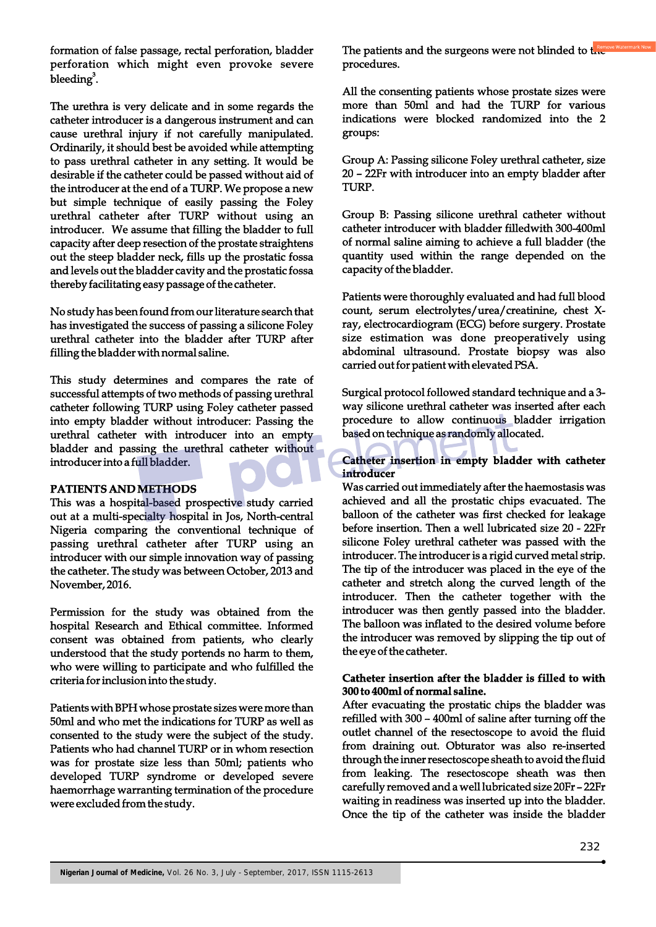formation of false passage, rectal perforation, bladder perforation which might even provoke severe bleeding<sup>3</sup>.

The urethra is very delicate and in some regards the catheter introducer is a dangerous instrument and can cause urethral injury if not carefully manipulated. Ordinarily, it should best be avoided while attempting to pass urethral catheter in any setting. It would be desirable if the catheter could be passed without aid of the introducer at the end of a TURP. We propose a new but simple technique of easily passing the Foley urethral catheter after TURP without using an introducer. We assume that filling the bladder to full capacity after deep resection of the prostate straightens out the steep bladder neck, fills up the prostatic fossa and levels out the bladder cavity and the prostatic fossa thereby facilitating easy passage of the catheter.

No study has been found from our literature search that has investigated the success of passing a silicone Foley urethral catheter into the bladder after TURP after filling the bladder with normal saline.

This study determines and compares the rate of successful attempts of two methods of passing urethral catheter following TURP using Foley catheter passed into empty bladder without introducer: Passing the urethral catheter with introducer into an empty bladder and passing the urethral catheter without introducer into a full bladder.

#### **PATIENTS AND METHODS**

This was a hospital-based prospective study carried out at a multi-specialty hospital in Jos, North-central Nigeria comparing the conventional technique of passing urethral catheter after TURP using an introducer with our simple innovation way of passing the catheter. The study was between October, 2013 and November, 2016.

Permission for the study was obtained from the hospital Research and Ethical committee. Informed consent was obtained from patients, who clearly understood that the study portends no harm to them, who were willing to participate and who fulfilled the criteria for inclusion into the study.

Patients with BPH whose prostate sizes were more than 50ml and who met the indications for TURP as well as consented to the study were the subject of the study. Patients who had channel TURP or in whom resection was for prostate size less than 50ml; patients who developed TURP syndrome or developed severe haemorrhage warranting termination of the procedure were excluded from the study.

The patients and the surgeons were not blinded to  $t_{\text{max}}$ procedures.

All the consenting patients whose prostate sizes were more than 50ml and had the TURP for various indications were blocked randomized into the 2 groups:

Group A: Passing silicone Foley urethral catheter, size 20 – 22Fr with introducer into an empty bladder after TURP.

Group B: Passing silicone urethral catheter without catheter introducer with bladder filledwith 300-400ml of normal saline aiming to achieve a full bladder (the quantity used within the range depended on the capacity of the bladder.

Patients were thoroughly evaluated and had full blood count, serum electrolytes/urea/creatinine, chest Xray, electrocardiogram (ECG) before surgery. Prostate size estimation was done preoperatively using abdominal ultrasound. Prostate biopsy was also carried out for patient with elevated PSA.

Surgical protocol followed standard technique and a 3 way silicone urethral catheter was inserted after each procedure to allow continuous bladder irrigation based on technique as randomly allocated.

**Catheter insertion in empty bladder with catheter introducer**

Was carried out immediately after the haemostasis was achieved and all the prostatic chips evacuated. The balloon of the catheter was first checked for leakage before insertion. Then a well lubricated size 20 - 22Fr silicone Foley urethral catheter was passed with the introducer. The introducer is a rigid curved metal strip. The tip of the introducer was placed in the eye of the catheter and stretch along the curved length of the introducer. Then the catheter together with the introducer was then gently passed into the bladder. The balloon was inflated to the desired volume before the introducer was removed by slipping the tip out of the eye of the catheter.

#### **Catheter insertion after the bladder is filled to with 300 to 400ml of normal saline.**

After evacuating the prostatic chips the bladder was refilled with 300 – 400ml of saline after turning off the outlet channel of the resectoscope to avoid the fluid from draining out. Obturator was also re-inserted through the inner resectoscope sheath to avoid the fluid from leaking. The resectoscope sheath was then carefully removed and a well lubricated size 20Fr – 22Fr waiting in readiness was inserted up into the bladder. Once the tip of the catheter was inside the bladder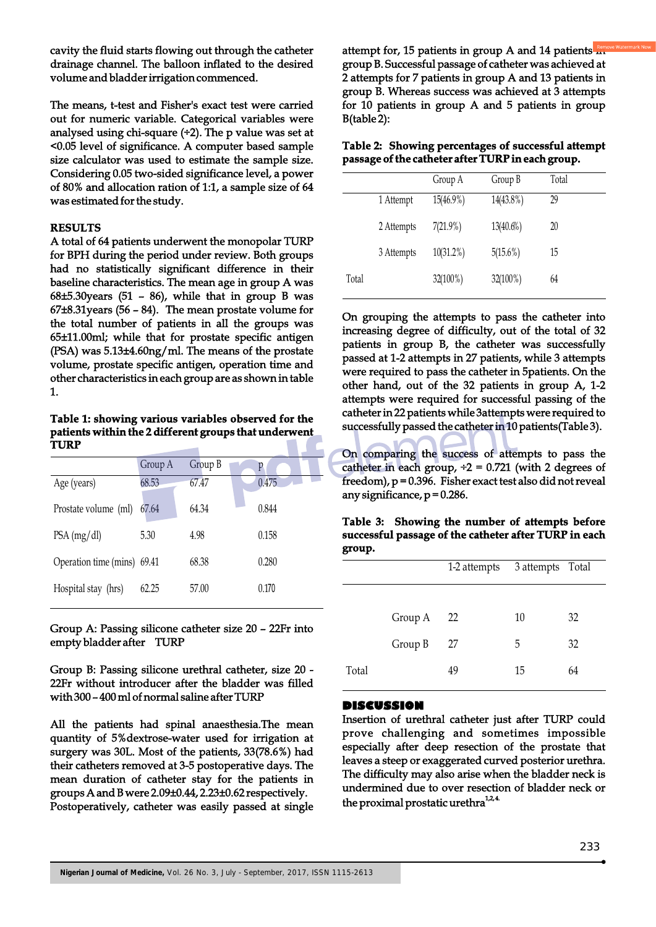cavity the fluid starts flowing out through the catheter drainage channel. The balloon inflated to the desired volume and bladder irrigation commenced.

The means, t-test and Fisher's exact test were carried out for numeric variable. Categorical variables were analysed using chi-square  $(+2)$ . The p value was set at <0.05 level of significance. A computer based sample size calculator was used to estimate the sample size. Considering 0.05 two-sided significance level, a power of 80% and allocation ration of 1:1, a sample size of 64 was estimated for the study.

#### **RESULTS**

A total of 64 patients underwent the monopolar TURP for BPH during the period under review. Both groups had no statistically significant difference in their baseline characteristics. The mean age in group A was  $68±5.30$ years (51 – 86), while that in group B was 67±8.31years (56 – 84). The mean prostate volume for the total number of patients in all the groups was 65±11.00ml; while that for prostate specific antigen (PSA) was 5.13±4.60ng/ml. The means of the prostate volume, prostate specific antigen, operation time and other characteristics in each group are as shown in table 1.

**Table 1: showing various variables observed for the patients within the 2 different groups that underwent TURP**

|                             | Group A | Group B | p     |
|-----------------------------|---------|---------|-------|
| Age (years)                 | 68.53   | 67.47   | 0.475 |
| Prostate volume (ml)        | 67.64   | 64.34   | 0.844 |
| PSA (mg/dl)                 | 5.30    | 4.98    | 0.158 |
| Operation time (mins) 69.41 |         | 68.38   | 0.280 |
| Hospital stay (hrs)         | 62.25   | 57.00   | 0.170 |

Group A: Passing silicone catheter size 20 – 22Fr into empty bladder after TURP

Group B: Passing silicone urethral catheter, size 20 - 22Fr without introducer after the bladder was filled with 300 – 400 ml of normal saline after TURP

All the patients had spinal anaesthesia.The mean quantity of 5%dextrose-water used for irrigation at surgery was 30L. Most of the patients, 33(78.6%) had their catheters removed at 3-5 postoperative days. The mean duration of catheter stay for the patients in groups A and B were 2.09±0.44, 2.23±0.62 respectively. Postoperatively, catheter was easily passed at single

attempt for, 15 patients in group A and 14 patients  $\mathbb{R}^n$ group B. Successful passage of catheter was achieved at 2 attempts for 7 patients in group A and 13 patients in group B. Whereas success was achieved at 3 attempts for 10 patients in group A and 5 patients in group B(table 2):

**Table 2: Showing percentages of successful attempt passage of the catheter after TURP in each group.**

|       |            | Group A      | Group B      | Total |
|-------|------------|--------------|--------------|-------|
|       | 1 Attempt  | 15(46.9%)    | 14(43.8%)    | 29    |
|       | 2 Attempts | $7(21.9\%)$  | $13(40.6\%)$ | 20    |
|       | 3 Attempts | $10(31.2\%)$ | 5(15.6%)     | 15    |
| Total |            | $32(100\%)$  | 32(100%)     | 64    |
|       |            |              |              |       |

On grouping the attempts to pass the catheter into increasing degree of difficulty, out of the total of 32 patients in group B, the catheter was successfully passed at 1-2 attempts in 27 patients, while 3 attempts were required to pass the catheter in 5patients. On the other hand, out of the 32 patients in group A, 1-2 attempts were required for successful passing of the catheter in 22 patients while 3attempts were required to successfully passed the catheter in 10 patients(Table 3).

On comparing the success of attempts to pass the catheter in each group,  $\div 2 = 0.721$  (with 2 degrees of freedom),  $p = 0.396$ . Fisher exact test also did not reveal any significance,  $p = 0.286$ .

**Table 3: Showing the number of attempts before successful passage of the catheter after TURP in each group.**

|       |         | 1-2 attempts | 3 attempts Total |    |
|-------|---------|--------------|------------------|----|
|       |         |              |                  |    |
|       | Group A | 22           | 10               | 32 |
|       | Group B | 27           | 5                | 32 |
| Total |         | 49           | 15               | 64 |

#### **DISCUSSION**

Insertion of urethral catheter just after TURP could prove challenging and sometimes impossible especially after deep resection of the prostate that leaves a steep or exaggerated curved posterior urethra. The difficulty may also arise when the bladder neck is undermined due to over resection of bladder neck or the proximal prostatic urethra<sup>1,2,4</sup>